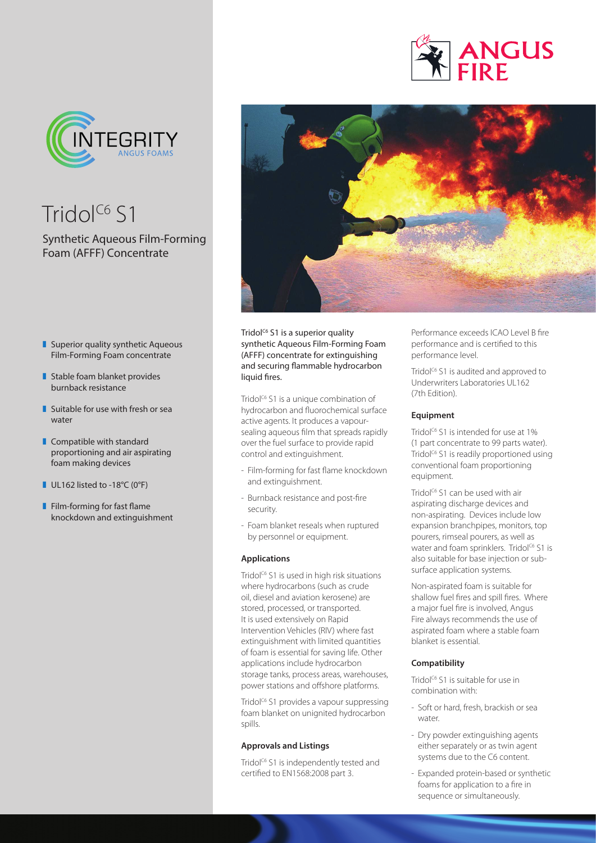

Tridol<sup>C6</sup> S1

# Synthetic Aqueous Film-Forming Foam (AFFF) Concentrate

- $\blacksquare$  Superior quality synthetic Aqueous Film-Forming Foam concentrate
- $\blacksquare$  Stable foam blanket provides burnback resistance
- $\blacksquare$  Suitable for use with fresh or sea water
- $\blacksquare$  Compatible with standard proportioning and air aspirating foam making devices
- $\blacksquare$  UL162 listed to -18°C (0°F)
- $\blacksquare$  Film-forming for fast flame knockdown and extinguishment



Tridol $C<sup>6</sup>$  S1 is a superior quality synthetic Aqueous Film-Forming Foam (AFFF) concentrate for extinguishing and securing flammable hydrocarbon liquid fires.

Tridol<sup>c6</sup> S1 is a unique combination of hydrocarbon and fluorochemical surface active agents. It produces a vapoursealing aqueous film that spreads rapidly over the fuel surface to provide rapid control and extinguishment.

- Film-forming for fast flame knockdown and extinguishment.
- Burnback resistance and post-fire security.
- Foam blanket reseals when ruptured by personnel or equipment.

### **Applications**

Tridol<sup>c6</sup> S1 is used in high risk situations where hydrocarbons (such as crude oil, diesel and aviation kerosene) are stored, processed, or transported. It is used extensively on Rapid Intervention Vehicles (RIV) where fast extinguishment with limited quantities of foam is essential for saving life. Other applications include hydrocarbon storage tanks, process areas, warehouses, power stations and offshore platforms.

Tridol<sup>c6</sup> S1 provides a vapour suppressing foam blanket on unignited hydrocarbon spills.

#### **Approvals and Listings**

Tridol<sup>c6</sup> S1 is independently tested and certified to EN1568:2008 part 3.

Performance exceeds ICAO Level B fire performance and is certified to this performance level.

**NGUS** 

Tridol<sup> $C_6$ </sup> S1 is audited and approved to Underwriters Laboratories UL162 (7th Edition).

#### **Equipment**

Tridol<sup>C6</sup> S1 is intended for use at 1% (1 part concentrate to 99 parts water). Tridol<sup>C6</sup> S1 is readily proportioned using conventional foam proportioning equipment.

Tridol<sup> $C_6$ </sup> S1 can be used with air aspirating discharge devices and non-aspirating. Devices include low expansion branchpipes, monitors, top pourers, rimseal pourers, as well as water and foam sprinklers. Tridol<sup>c6</sup> S1 is also suitable for base injection or subsurface application systems.

Non-aspirated foam is suitable for shallow fuel fires and spill fires. Where a major fuel fire is involved, Angus Fire always recommends the use of aspirated foam where a stable foam blanket is essential.

## **Compatibility**

Tridol<sup>c6</sup> S1 is suitable for use in combination with:

- Soft or hard, fresh, brackish or sea water.
- Dry powder extinguishing agents either separately or as twin agent systems due to the C6 content.
- Expanded protein-based or synthetic foams for application to a fire in sequence or simultaneously.